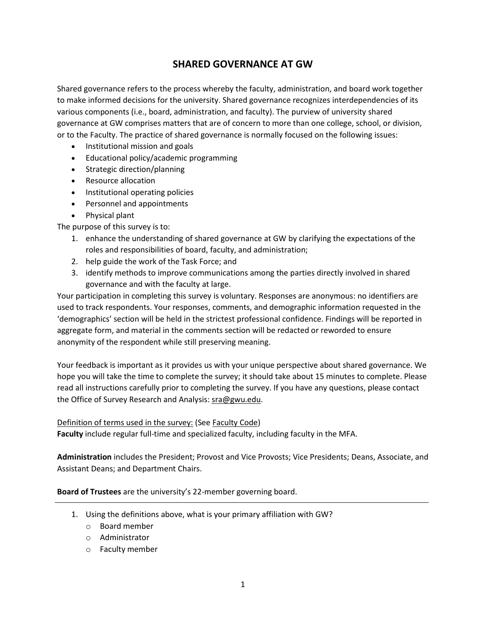# **SHARED GOVERNANCE AT GW**

Shared governance refers to the process whereby the faculty, administration, and board work together to make informed decisions for the university. Shared governance recognizes interdependencies of its various components (i.e., board, administration, and faculty). The purview of university shared governance at GW comprises matters that are of concern to more than one college, school, or division, or to the Faculty. The practice of shared governance is normally focused on the following issues:

- Institutional mission and goals
- Educational policy/academic programming
- Strategic direction/planning
- Resource allocation
- Institutional operating policies
- Personnel and appointments
- Physical plant

The purpose of this survey is to:

- 1. enhance the understanding of shared governance at GW by clarifying the expectations of the roles and responsibilities of board, faculty, and administration;
- 2. help guide the work of the Task Force; and
- 3. identify methods to improve communications among the parties directly involved in shared governance and with the faculty at large.

Your participation in completing this survey is voluntary. Responses are anonymous: no identifiers are used to track respondents. Your responses, comments, and demographic information requested in the 'demographics' section will be held in the strictest professional confidence. Findings will be reported in aggregate form, and material in the comments section will be redacted or reworded to ensure anonymity of the respondent while still preserving meaning.

Your feedback is important as it provides us with your unique perspective about shared governance. We hope you will take the time to complete the survey; it should take about 15 minutes to complete. Please read all instructions carefully prior to completing the survey. If you have any questions, please contact the Office of Survey Research and Analysis: [sra@gwu.edu.](mailto:sra@gwu.edu?subject=Re%3A%20Shared%20Governance%20at%20GW%20-%202022%20Survey)

## Definition of terms used in the survey: (See [Faculty Code\)](https://provost.gwu.edu/sites/g/files/zaxdzs626/f/downloads/Faculty%20Code.pdf)

**Faculty** include regular full-time and specialized faculty, including faculty in the MFA.

**Administration** includes the President; Provost and Vice Provosts; Vice Presidents; Deans, Associate, and Assistant Deans; and Department Chairs.

**Board of Trustees** are the university's 22-member governing board.

- 1. Using the definitions above, what is your primary affiliation with GW?
	- o Board member
	- o Administrator
	- o Faculty member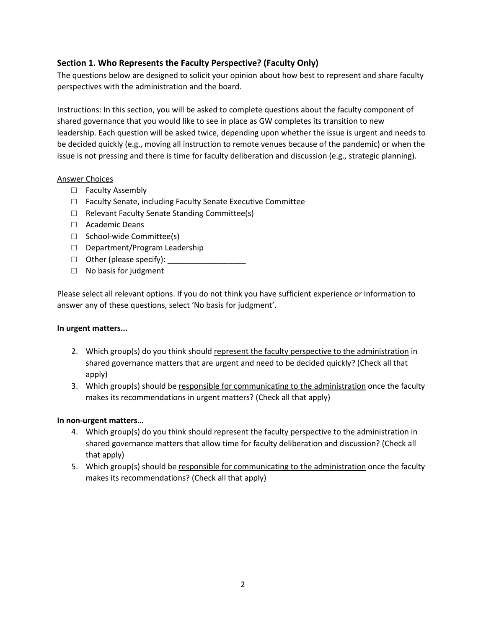# **Section 1. Who Represents the Faculty Perspective? (Faculty Only)**

The questions below are designed to solicit your opinion about how best to represent and share faculty perspectives with the administration and the board.

Instructions: In this section, you will be asked to complete questions about the faculty component of shared governance that you would like to see in place as GW completes its transition to new leadership. Each question will be asked twice, depending upon whether the issue is urgent and needs to be decided quickly (e.g., moving all instruction to remote venues because of the pandemic) or when the issue is not pressing and there is time for faculty deliberation and discussion (e.g., strategic planning).

### Answer Choices

- □ Faculty Assembly
- □ Faculty Senate, including Faculty Senate Executive Committee
- □ Relevant Faculty Senate Standing Committee(s)
- □ Academic Deans
- □ School-wide Committee(s)
- □ Department/Program Leadership
- $\Box$  Other (please specify):
- □ No basis for judgment

Please select all relevant options. If you do not think you have sufficient experience or information to answer any of these questions, select 'No basis for judgment'.

### **In urgent matters...**

- 2. Which group(s) do you think should represent the faculty perspective to the administration in shared governance matters that are urgent and need to be decided quickly? (Check all that apply)
- 3. Which group(s) should be responsible for communicating to the administration once the faculty makes its recommendations in urgent matters? (Check all that apply)

### **In non-urgent matters…**

- 4. Which group(s) do you think should represent the faculty perspective to the administration in shared governance matters that allow time for faculty deliberation and discussion? (Check all that apply)
- 5. Which group(s) should be responsible for communicating to the administration once the faculty makes its recommendations? (Check all that apply)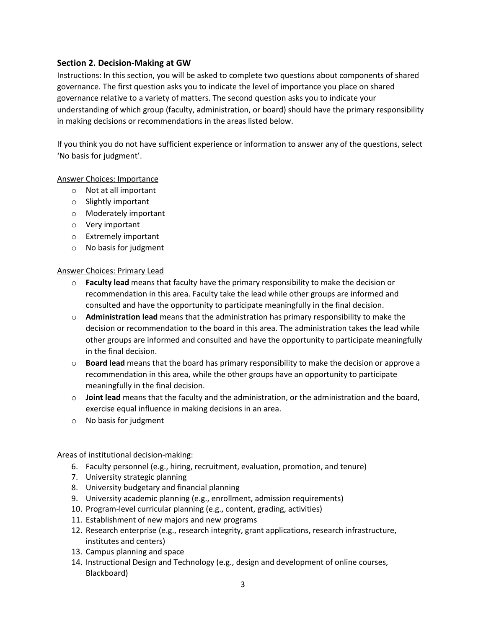## **Section 2. Decision-Making at GW**

Instructions: In this section, you will be asked to complete two questions about components of shared governance. The first question asks you to indicate the level of importance you place on shared governance relative to a variety of matters. The second question asks you to indicate your understanding of which group (faculty, administration, or board) should have the primary responsibility in making decisions or recommendations in the areas listed below.

If you think you do not have sufficient experience or information to answer any of the questions, select 'No basis for judgment'.

## Answer Choices: Importance

- o Not at all important
- o Slightly important
- o Moderately important
- o Very important
- o Extremely important
- o No basis for judgment

### Answer Choices: Primary Lead

- o **Faculty lead** means that faculty have the primary responsibility to make the decision or recommendation in this area. Faculty take the lead while other groups are informed and consulted and have the opportunity to participate meaningfully in the final decision.
- o **Administration lead** means that the administration has primary responsibility to make the decision or recommendation to the board in this area. The administration takes the lead while other groups are informed and consulted and have the opportunity to participate meaningfully in the final decision.
- o **Board lead** means that the board has primary responsibility to make the decision or approve a recommendation in this area, while the other groups have an opportunity to participate meaningfully in the final decision.
- o **Joint lead** means that the faculty and the administration, or the administration and the board, exercise equal influence in making decisions in an area.
- o No basis for judgment

### Areas of institutional decision-making:

- 6. Faculty personnel (e.g., hiring, recruitment, evaluation, promotion, and tenure)
- 7. University strategic planning
- 8. University budgetary and financial planning
- 9. University academic planning (e.g., enrollment, admission requirements)
- 10. Program-level curricular planning (e.g., content, grading, activities)
- 11. Establishment of new majors and new programs
- 12. Research enterprise (e.g., research integrity, grant applications, research infrastructure, institutes and centers)
- 13. Campus planning and space
- 14. Instructional Design and Technology (e.g., design and development of online courses, Blackboard)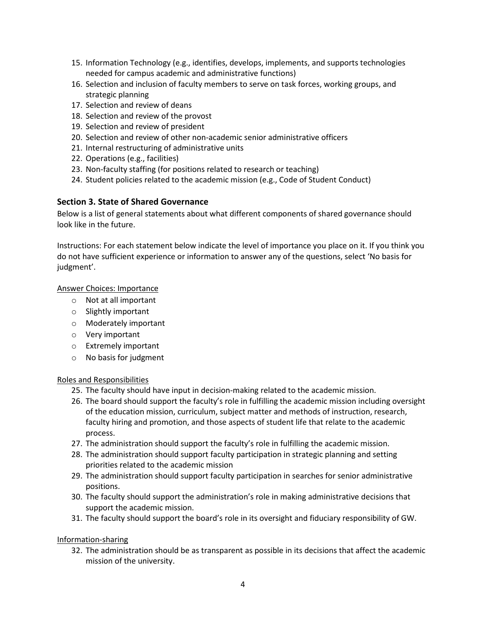- 15. Information Technology (e.g., identifies, develops, implements, and supports technologies needed for campus academic and administrative functions)
- 16. Selection and inclusion of faculty members to serve on task forces, working groups, and strategic planning
- 17. Selection and review of deans
- 18. Selection and review of the provost
- 19. Selection and review of president
- 20. Selection and review of other non-academic senior administrative officers
- 21. Internal restructuring of administrative units
- 22. Operations (e.g., facilities)
- 23. Non-faculty staffing (for positions related to research or teaching)
- 24. Student policies related to the academic mission (e.g., Code of Student Conduct)

# **Section 3. State of Shared Governance**

Below is a list of general statements about what different components of shared governance should look like in the future.

Instructions: For each statement below indicate the level of importance you place on it. If you think you do not have sufficient experience or information to answer any of the questions, select 'No basis for judgment'.

## Answer Choices: Importance

- o Not at all important
- o Slightly important
- o Moderately important
- o Very important
- o Extremely important
- o No basis for judgment

### Roles and Responsibilities

- 25. The faculty should have input in decision-making related to the academic mission.
- 26. The board should support the faculty's role in fulfilling the academic mission including oversight of the education mission, curriculum, subject matter and methods of instruction, research, faculty hiring and promotion, and those aspects of student life that relate to the academic process.
- 27. The administration should support the faculty's role in fulfilling the academic mission.
- 28. The administration should support faculty participation in strategic planning and setting priorities related to the academic mission
- 29. The administration should support faculty participation in searches for senior administrative positions.
- 30. The faculty should support the administration's role in making administrative decisions that support the academic mission.
- 31. The faculty should support the board's role in its oversight and fiduciary responsibility of GW.

## Information-sharing

32. The administration should be as transparent as possible in its decisions that affect the academic mission of the university.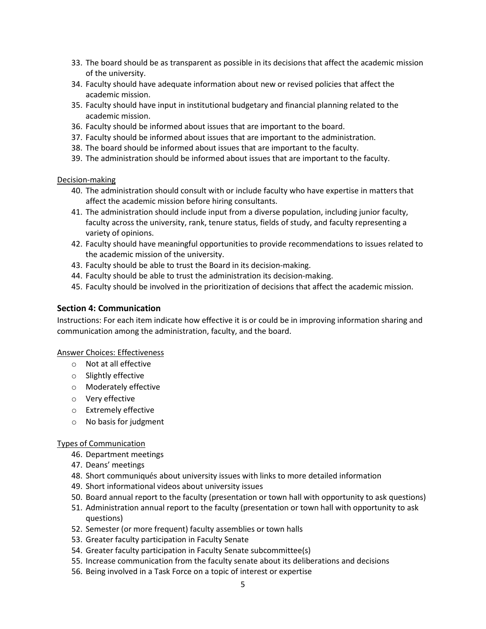- 33. The board should be as transparent as possible in its decisions that affect the academic mission of the university.
- 34. Faculty should have adequate information about new or revised policies that affect the academic mission.
- 35. Faculty should have input in institutional budgetary and financial planning related to the academic mission.
- 36. Faculty should be informed about issues that are important to the board.
- 37. Faculty should be informed about issues that are important to the administration.
- 38. The board should be informed about issues that are important to the faculty.
- 39. The administration should be informed about issues that are important to the faculty.

#### Decision-making

- 40. The administration should consult with or include faculty who have expertise in matters that affect the academic mission before hiring consultants.
- 41. The administration should include input from a diverse population, including junior faculty, faculty across the university, rank, tenure status, fields of study, and faculty representing a variety of opinions.
- 42. Faculty should have meaningful opportunities to provide recommendations to issues related to the academic mission of the university.
- 43. Faculty should be able to trust the Board in its decision-making.
- 44. Faculty should be able to trust the administration its decision-making.
- 45. Faculty should be involved in the prioritization of decisions that affect the academic mission.

### **Section 4: Communication**

Instructions: For each item indicate how effective it is or could be in improving information sharing and communication among the administration, faculty, and the board.

#### Answer Choices: Effectiveness

- o Not at all effective
- o Slightly effective
- o Moderately effective
- o Very effective
- o Extremely effective
- o No basis for judgment

### Types of Communication

- 46. Department meetings
- 47. Deans' meetings
- 48. Short communiqués about university issues with links to more detailed information
- 49. Short informational videos about university issues
- 50. Board annual report to the faculty (presentation or town hall with opportunity to ask questions)
- 51. Administration annual report to the faculty (presentation or town hall with opportunity to ask questions)
- 52. Semester (or more frequent) faculty assemblies or town halls
- 53. Greater faculty participation in Faculty Senate
- 54. Greater faculty participation in Faculty Senate subcommittee(s)
- 55. Increase communication from the faculty senate about its deliberations and decisions
- 56. Being involved in a Task Force on a topic of interest or expertise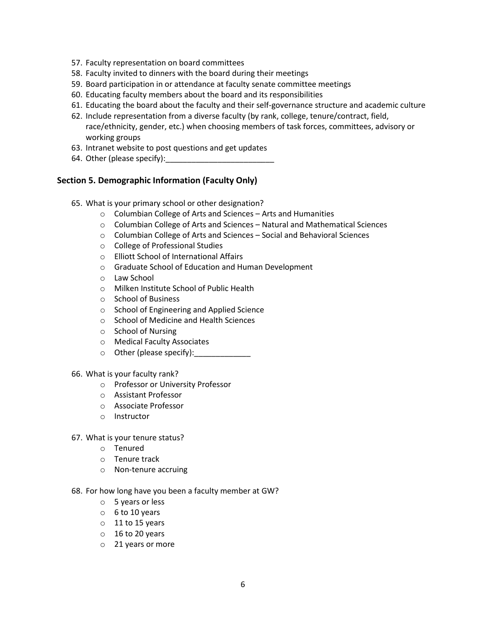- 57. Faculty representation on board committees
- 58. Faculty invited to dinners with the board during their meetings
- 59. Board participation in or attendance at faculty senate committee meetings
- 60. Educating faculty members about the board and its responsibilities
- 61. Educating the board about the faculty and their self-governance structure and academic culture
- 62. Include representation from a diverse faculty (by rank, college, tenure/contract, field, race/ethnicity, gender, etc.) when choosing members of task forces, committees, advisory or working groups
- 63. Intranet website to post questions and get updates
- 64. Other (please specify):

### **Section 5. Demographic Information (Faculty Only)**

- 65. What is your primary school or other designation?
	- o Columbian College of Arts and Sciences Arts and Humanities
	- $\circ$  Columbian College of Arts and Sciences Natural and Mathematical Sciences
	- o Columbian College of Arts and Sciences Social and Behavioral Sciences
	- o College of Professional Studies
	- o Elliott School of International Affairs
	- o Graduate School of Education and Human Development
	- o Law School
	- o Milken Institute School of Public Health
	- o School of Business
	- o School of Engineering and Applied Science
	- o School of Medicine and Health Sciences
	- o School of Nursing
	- o Medical Faculty Associates
	- o Other (please specify):\_\_\_\_\_\_\_\_\_\_\_\_\_

#### 66. What is your faculty rank?

- o Professor or University Professor
- o Assistant Professor
- o Associate Professor
- o Instructor
- 67. What is your tenure status?
	- o Tenured
	- o Tenure track
	- o Non-tenure accruing
- 68. For how long have you been a faculty member at GW?
	- o 5 years or less
	- $0<sub>6</sub>$  to 10 years
	- o 11 to 15 years
	- o 16 to 20 years
	- o 21 years or more